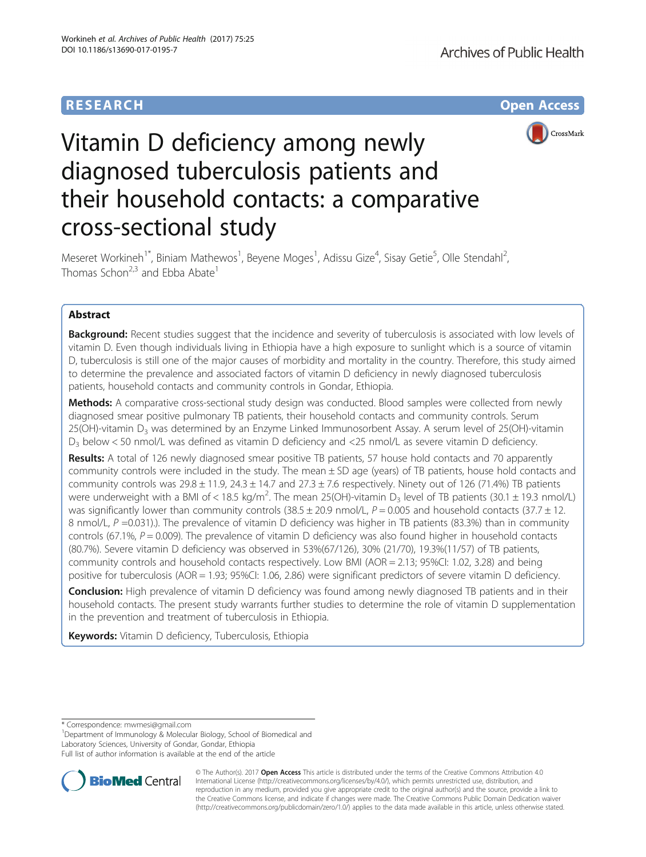# **RESEARCH CHE Open Access**



# Vitamin D deficiency among newly diagnosed tuberculosis patients and their household contacts: a comparative cross-sectional study

Meseret Workineh<sup>1\*</sup>, Biniam Mathewos<sup>1</sup>, Beyene Moges<sup>1</sup>, Adissu Gize<sup>4</sup>, Sisay Getie<sup>5</sup>, Olle Stendahl<sup>2</sup> , Thomas Schon<sup>2,3</sup> and Ebba Abate<sup>1</sup>

# Abstract

**Background:** Recent studies suggest that the incidence and severity of tuberculosis is associated with low levels of vitamin D. Even though individuals living in Ethiopia have a high exposure to sunlight which is a source of vitamin D, tuberculosis is still one of the major causes of morbidity and mortality in the country. Therefore, this study aimed to determine the prevalence and associated factors of vitamin D deficiency in newly diagnosed tuberculosis patients, household contacts and community controls in Gondar, Ethiopia.

Methods: A comparative cross-sectional study design was conducted. Blood samples were collected from newly diagnosed smear positive pulmonary TB patients, their household contacts and community controls. Serum 25(OH)-vitamin D<sub>3</sub> was determined by an Enzyme Linked Immunosorbent Assay. A serum level of 25(OH)-vitamin D3 below < 50 nmol/L was defined as vitamin D deficiency and <25 nmol/L as severe vitamin D deficiency.

Results: A total of 126 newly diagnosed smear positive TB patients, 57 house hold contacts and 70 apparently community controls were included in the study. The mean  $\pm$  SD age (years) of TB patients, house hold contacts and community controls was  $29.8 \pm 11.9$ ,  $24.3 \pm 14.7$  and  $27.3 \pm 7.6$  respectively. Ninety out of 126 (71.4%) TB patients were underweight with a BMI of < 18.5 kg/m<sup>2</sup>. The mean 25(OH)-vitamin D<sub>3</sub> level of TB patients (30.1  $\pm$  19.3 nmol/L) was significantly lower than community controls (38.5  $\pm$  20.9 nmol/L, P = 0.005 and household contacts (37.7  $\pm$  12. 8 nmol/L,  $P = 0.031$ .). The prevalence of vitamin D deficiency was higher in TB patients (83.3%) than in community controls (67.1%,  $P = 0.009$ ). The prevalence of vitamin D deficiency was also found higher in household contacts (80.7%). Severe vitamin D deficiency was observed in 53%(67/126), 30% (21/70), 19.3%(11/57) of TB patients, community controls and household contacts respectively. Low BMI (AOR = 2.13; 95%CI: 1.02, 3.28) and being positive for tuberculosis (AOR = 1.93; 95%CI: 1.06, 2.86) were significant predictors of severe vitamin D deficiency.

Conclusion: High prevalence of vitamin D deficiency was found among newly diagnosed TB patients and in their household contacts. The present study warrants further studies to determine the role of vitamin D supplementation in the prevention and treatment of tuberculosis in Ethiopia.

Keywords: Vitamin D deficiency, Tuberculosis, Ethiopia

\* Correspondence: [mwmesi@gmail.com](mailto:mwmesi@gmail.com) <sup>1</sup>

<sup>1</sup>Department of Immunology & Molecular Biology, School of Biomedical and Laboratory Sciences, University of Gondar, Gondar, Ethiopia

Full list of author information is available at the end of the article



© The Author(s). 2017 **Open Access** This article is distributed under the terms of the Creative Commons Attribution 4.0 International License [\(http://creativecommons.org/licenses/by/4.0/](http://creativecommons.org/licenses/by/4.0/)), which permits unrestricted use, distribution, and reproduction in any medium, provided you give appropriate credit to the original author(s) and the source, provide a link to the Creative Commons license, and indicate if changes were made. The Creative Commons Public Domain Dedication waiver [\(http://creativecommons.org/publicdomain/zero/1.0/](http://creativecommons.org/publicdomain/zero/1.0/)) applies to the data made available in this article, unless otherwise stated.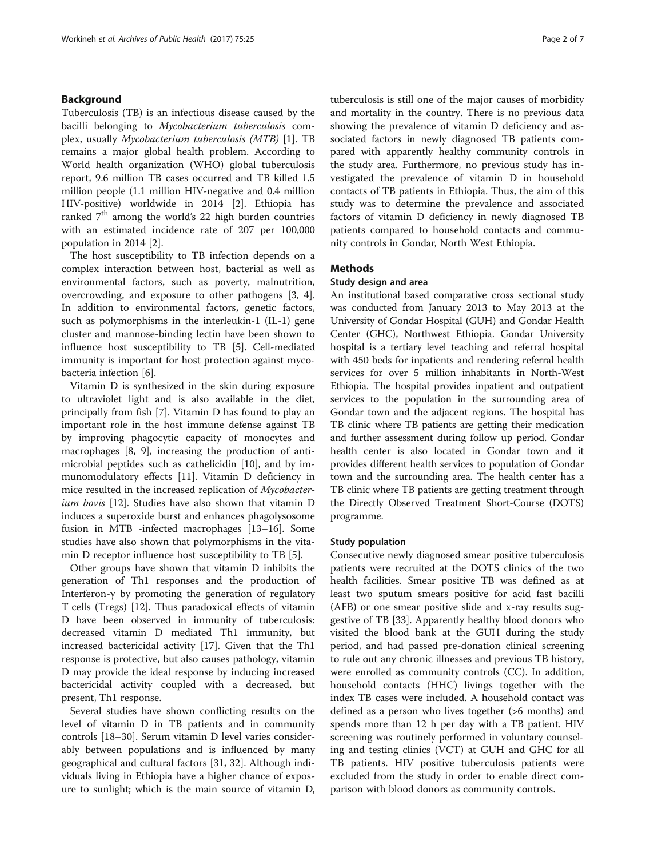# Background

Tuberculosis (TB) is an infectious disease caused by the bacilli belonging to Mycobacterium tuberculosis complex, usually Mycobacterium tuberculosis (MTB) [\[1](#page-5-0)]. TB remains a major global health problem. According to World health organization (WHO) global tuberculosis report, 9.6 million TB cases occurred and TB killed 1.5 million people (1.1 million HIV-negative and 0.4 million HIV-positive) worldwide in 2014 [[2\]](#page-5-0). Ethiopia has ranked  $7<sup>th</sup>$  among the world's 22 high burden countries with an estimated incidence rate of 207 per 100,000 population in 2014 [\[2](#page-5-0)].

The host susceptibility to TB infection depends on a complex interaction between host, bacterial as well as environmental factors, such as poverty, malnutrition, overcrowding, and exposure to other pathogens [[3, 4](#page-5-0)]. In addition to environmental factors, genetic factors, such as polymorphisms in the interleukin-1 (IL-1) gene cluster and mannose-binding lectin have been shown to influence host susceptibility to TB [\[5](#page-5-0)]. Cell-mediated immunity is important for host protection against mycobacteria infection [[6\]](#page-5-0).

Vitamin D is synthesized in the skin during exposure to ultraviolet light and is also available in the diet, principally from fish [\[7](#page-5-0)]. Vitamin D has found to play an important role in the host immune defense against TB by improving phagocytic capacity of monocytes and macrophages [\[8](#page-5-0), [9\]](#page-5-0), increasing the production of antimicrobial peptides such as cathelicidin [\[10](#page-5-0)], and by immunomodulatory effects [[11\]](#page-5-0). Vitamin D deficiency in mice resulted in the increased replication of Mycobacterium bovis [\[12\]](#page-5-0). Studies have also shown that vitamin D induces a superoxide burst and enhances phagolysosome fusion in MTB -infected macrophages [\[13](#page-5-0)–[16](#page-6-0)]. Some studies have also shown that polymorphisms in the vitamin D receptor influence host susceptibility to TB [\[5](#page-5-0)].

Other groups have shown that vitamin D inhibits the generation of Th1 responses and the production of Interferon-γ by promoting the generation of regulatory T cells (Tregs) [[12\]](#page-5-0). Thus paradoxical effects of vitamin D have been observed in immunity of tuberculosis: decreased vitamin D mediated Th1 immunity, but increased bactericidal activity [[17\]](#page-6-0). Given that the Th1 response is protective, but also causes pathology, vitamin D may provide the ideal response by inducing increased bactericidal activity coupled with a decreased, but present, Th1 response.

Several studies have shown conflicting results on the level of vitamin D in TB patients and in community controls [\[18](#page-6-0)–[30\]](#page-6-0). Serum vitamin D level varies considerably between populations and is influenced by many geographical and cultural factors [[31, 32\]](#page-6-0). Although individuals living in Ethiopia have a higher chance of exposure to sunlight; which is the main source of vitamin D, tuberculosis is still one of the major causes of morbidity and mortality in the country. There is no previous data showing the prevalence of vitamin D deficiency and associated factors in newly diagnosed TB patients compared with apparently healthy community controls in the study area. Furthermore, no previous study has investigated the prevalence of vitamin D in household contacts of TB patients in Ethiopia. Thus, the aim of this study was to determine the prevalence and associated factors of vitamin D deficiency in newly diagnosed TB patients compared to household contacts and community controls in Gondar, North West Ethiopia.

## Methods

#### Study design and area

An institutional based comparative cross sectional study was conducted from January 2013 to May 2013 at the University of Gondar Hospital (GUH) and Gondar Health Center (GHC), Northwest Ethiopia. Gondar University hospital is a tertiary level teaching and referral hospital with 450 beds for inpatients and rendering referral health services for over 5 million inhabitants in North-West Ethiopia. The hospital provides inpatient and outpatient services to the population in the surrounding area of Gondar town and the adjacent regions. The hospital has TB clinic where TB patients are getting their medication and further assessment during follow up period. Gondar health center is also located in Gondar town and it provides different health services to population of Gondar town and the surrounding area. The health center has a TB clinic where TB patients are getting treatment through the Directly Observed Treatment Short-Course (DOTS) programme.

#### Study population

Consecutive newly diagnosed smear positive tuberculosis patients were recruited at the DOTS clinics of the two health facilities. Smear positive TB was defined as at least two sputum smears positive for acid fast bacilli (AFB) or one smear positive slide and x-ray results suggestive of TB [[33\]](#page-6-0). Apparently healthy blood donors who visited the blood bank at the GUH during the study period, and had passed pre-donation clinical screening to rule out any chronic illnesses and previous TB history, were enrolled as community controls (CC). In addition, household contacts (HHC) livings together with the index TB cases were included. A household contact was defined as a person who lives together (>6 months) and spends more than 12 h per day with a TB patient. HIV screening was routinely performed in voluntary counseling and testing clinics (VCT) at GUH and GHC for all TB patients. HIV positive tuberculosis patients were excluded from the study in order to enable direct comparison with blood donors as community controls.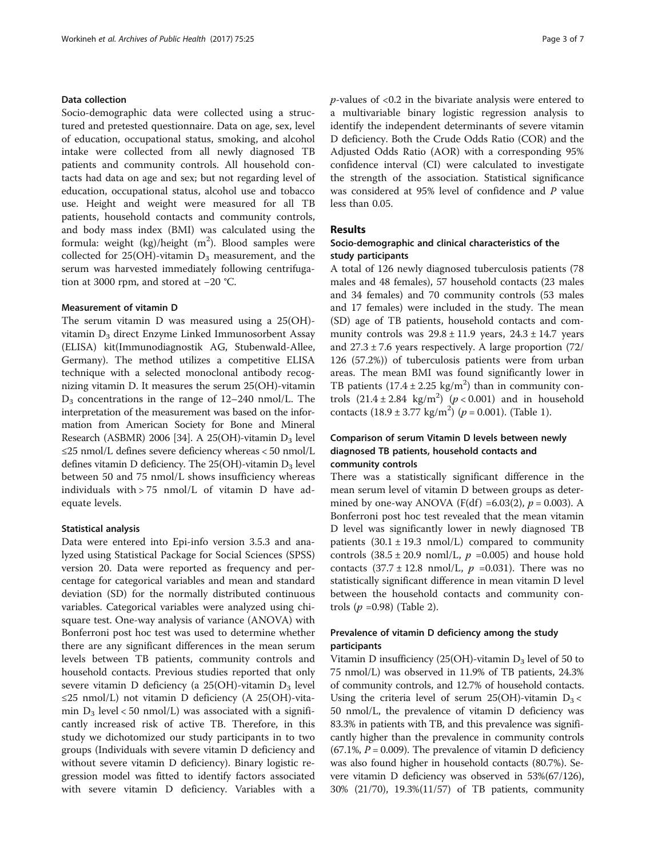## Data collection

Socio-demographic data were collected using a structured and pretested questionnaire. Data on age, sex, level of education, occupational status, smoking, and alcohol intake were collected from all newly diagnosed TB patients and community controls. All household contacts had data on age and sex; but not regarding level of education, occupational status, alcohol use and tobacco use. Height and weight were measured for all TB patients, household contacts and community controls, and body mass index (BMI) was calculated using the formula: weight (kg)/height  $(m^2)$ . Blood samples were collected for  $25(OH)$ -vitamin  $D_3$  measurement, and the serum was harvested immediately following centrifugation at 3000 rpm, and stored at −20 °C.

#### Measurement of vitamin D

The serum vitamin D was measured using a 25(OH) vitamin  $D_3$  direct Enzyme Linked Immunosorbent Assay (ELISA) kit(Immunodiagnostik AG, Stubenwald-Allee, Germany). The method utilizes a competitive ELISA technique with a selected monoclonal antibody recognizing vitamin D. It measures the serum 25(OH)-vitamin  $D_3$  concentrations in the range of 12–240 nmol/L. The interpretation of the measurement was based on the information from American Society for Bone and Mineral Research (ASBMR) 2006 [\[34\]](#page-6-0). A 25(OH)-vitamin  $D_3$  level ≤25 nmol/L defines severe deficiency whereas < 50 nmol/L defines vitamin D deficiency. The  $25(OH)$ -vitamin D<sub>3</sub> level between 50 and 75 nmol/L shows insufficiency whereas individuals with > 75 nmol/L of vitamin D have adequate levels.

#### Statistical analysis

Data were entered into Epi-info version 3.5.3 and analyzed using Statistical Package for Social Sciences (SPSS) version 20. Data were reported as frequency and percentage for categorical variables and mean and standard deviation (SD) for the normally distributed continuous variables. Categorical variables were analyzed using chisquare test. One-way analysis of variance (ANOVA) with Bonferroni post hoc test was used to determine whether there are any significant differences in the mean serum levels between TB patients, community controls and household contacts. Previous studies reported that only severe vitamin D deficiency (a  $25(OH)$ -vitamin D<sub>3</sub> level ≤25 nmol/L) not vitamin D deficiency (A 25(OH)-vitamin  $D_3$  level < 50 nmol/L) was associated with a significantly increased risk of active TB. Therefore, in this study we dichotomized our study participants in to two groups (Individuals with severe vitamin D deficiency and without severe vitamin D deficiency). Binary logistic regression model was fitted to identify factors associated with severe vitamin D deficiency. Variables with a  $p$ -values of <0.2 in the bivariate analysis were entered to a multivariable binary logistic regression analysis to identify the independent determinants of severe vitamin D deficiency. Both the Crude Odds Ratio (COR) and the Adjusted Odds Ratio (AOR) with a corresponding 95% confidence interval (CI) were calculated to investigate the strength of the association. Statistical significance was considered at 95% level of confidence and P value less than 0.05.

# Results

# Socio-demographic and clinical characteristics of the study participants

A total of 126 newly diagnosed tuberculosis patients (78 males and 48 females), 57 household contacts (23 males and 34 females) and 70 community controls (53 males and 17 females) were included in the study. The mean (SD) age of TB patients, household contacts and community controls was  $29.8 \pm 11.9$  years,  $24.3 \pm 14.7$  years and  $27.3 \pm 7.6$  years respectively. A large proportion (72/ 126 (57.2%)) of tuberculosis patients were from urban areas. The mean BMI was found significantly lower in TB patients  $(17.4 \pm 2.25 \text{ kg/m}^2)$  than in community controls  $(21.4 \pm 2.84 \text{ kg/m}^2)$   $(p < 0.001)$  and in household contacts  $(18.9 \pm 3.77 \text{ kg/m}^2)$  ( $p = 0.001$ ). (Table [1](#page-3-0)).

# Comparison of serum Vitamin D levels between newly diagnosed TB patients, household contacts and community controls

There was a statistically significant difference in the mean serum level of vitamin D between groups as determined by one-way ANOVA (F(df) = 6.03(2),  $p = 0.003$ ). A Bonferroni post hoc test revealed that the mean vitamin D level was significantly lower in newly diagnosed TB patients  $(30.1 \pm 19.3 \text{ nmol/L})$  compared to community controls  $(38.5 \pm 20.9 \text{ noml/L}, p = 0.005)$  and house hold contacts  $(37.7 \pm 12.8 \text{ nmol/L}, p = 0.031)$ . There was no statistically significant difference in mean vitamin D level between the household contacts and community controls  $(p = 0.98)$  (Table [2](#page-3-0)).

# Prevalence of vitamin D deficiency among the study participants

Vitamin D insufficiency (25(OH)-vitamin  $D_3$  level of 50 to 75 nmol/L) was observed in 11.9% of TB patients, 24.3% of community controls, and 12.7% of household contacts. Using the criteria level of serum 25(OH)-vitamin  $D_3$  < 50 nmol/L, the prevalence of vitamin D deficiency was 83.3% in patients with TB, and this prevalence was significantly higher than the prevalence in community controls  $(67.1\%, P = 0.009)$ . The prevalence of vitamin D deficiency was also found higher in household contacts (80.7%). Severe vitamin D deficiency was observed in 53%(67/126), 30% (21/70), 19.3%(11/57) of TB patients, community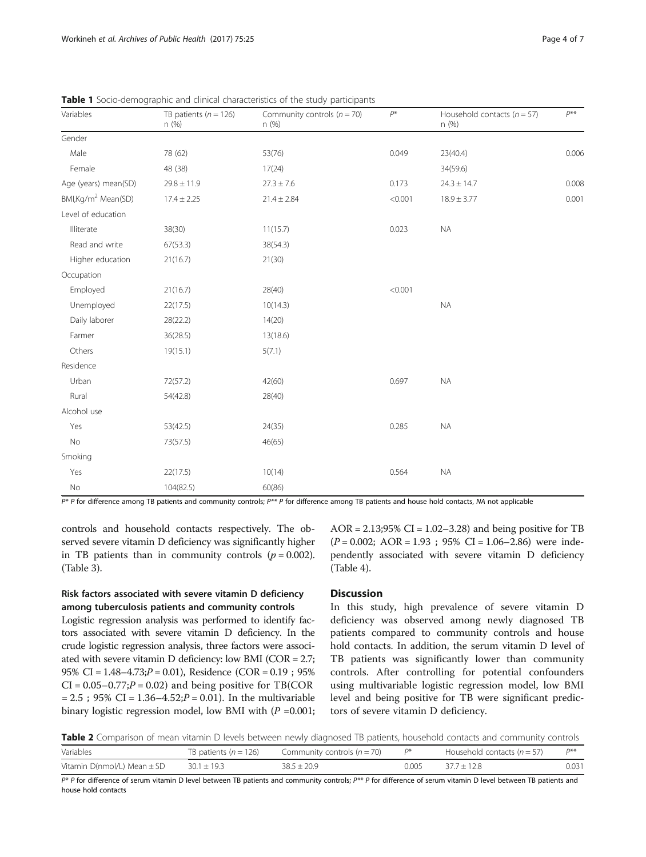| Variables                       | TB patients ( $n = 126$ )<br>n (%) | Community controls $(n = 70)$<br>n (%) | $P^*$   | Household contacts $(n = 57)$<br>n (%) | $P^{**}$ |
|---------------------------------|------------------------------------|----------------------------------------|---------|----------------------------------------|----------|
| Gender                          |                                    |                                        |         |                                        |          |
| Male                            | 78 (62)                            | 53(76)                                 | 0.049   | 23(40.4)                               | 0.006    |
| Female                          | 48 (38)                            | 17(24)                                 |         | 34(59.6)                               |          |
| Age (years) mean(SD)            | $29.8 \pm 11.9$                    | $27.3 \pm 7.6$                         | 0.173   | $24.3 \pm 14.7$                        | 0.008    |
| BMI, Kg/m <sup>2</sup> Mean(SD) | $17.4 \pm 2.25$                    | $21.4 \pm 2.84$                        | < 0.001 | $18.9 \pm 3.77$                        | 0.001    |
| Level of education              |                                    |                                        |         |                                        |          |
| Illiterate                      | 38(30)                             | 11(15.7)                               | 0.023   | <b>NA</b>                              |          |
| Read and write                  | 67(53.3)                           | 38(54.3)                               |         |                                        |          |
| Higher education                | 21(16.7)                           | 21(30)                                 |         |                                        |          |
| Occupation                      |                                    |                                        |         |                                        |          |
| Employed                        | 21(16.7)                           | 28(40)                                 | < 0.001 |                                        |          |
| Unemployed                      | 22(17.5)                           | 10(14.3)                               |         | <b>NA</b>                              |          |
| Daily laborer                   | 28(22.2)                           | 14(20)                                 |         |                                        |          |
| Farmer                          | 36(28.5)                           | 13(18.6)                               |         |                                        |          |
| Others                          | 19(15.1)                           | 5(7.1)                                 |         |                                        |          |
| Residence                       |                                    |                                        |         |                                        |          |
| Urban                           | 72(57.2)                           | 42(60)                                 | 0.697   | <b>NA</b>                              |          |
| Rural                           | 54(42.8)                           | 28(40)                                 |         |                                        |          |
| Alcohol use                     |                                    |                                        |         |                                        |          |
| Yes                             | 53(42.5)                           | 24(35)                                 | 0.285   | <b>NA</b>                              |          |
| No                              | 73(57.5)                           | 46(65)                                 |         |                                        |          |
| Smoking                         |                                    |                                        |         |                                        |          |
| Yes                             | 22(17.5)                           | 10(14)                                 | 0.564   | <b>NA</b>                              |          |
| No                              | 104(82.5)                          | 60(86)                                 |         |                                        |          |

<span id="page-3-0"></span>Table 1 Socio-demographic and clinical characteristics of the study participants

 $P^*$  P for difference among TB patients and community controls;  $P^{**}$  P for difference among TB patients and house hold contacts, NA not applicable

controls and household contacts respectively. The observed severe vitamin D deficiency was significantly higher in TB patients than in community controls  $(p = 0.002)$ . (Table [3](#page-4-0)).

# Risk factors associated with severe vitamin D deficiency among tuberculosis patients and community controls

Logistic regression analysis was performed to identify factors associated with severe vitamin D deficiency. In the crude logistic regression analysis, three factors were associated with severe vitamin D deficiency: low BMI (COR = 2.7; 95% CI =  $1.48 - 4.73$ ; $P = 0.01$ ), Residence (COR = 0.19; 95%)  $CI = 0.05 - 0.77; P = 0.02$ ) and being positive for TB(COR  $= 2.5$ ; 95% CI = 1.36–4.52; P = 0.01). In the multivariable binary logistic regression model, low BMI with  $(P = 0.001)$ ; AOR = 2.13;95% CI = 1.02–3.28) and being positive for TB  $(P = 0.002; AOR = 1.93; 95\% CI = 1.06-2.86)$  were independently associated with severe vitamin D deficiency (Table [4](#page-4-0)).

# **Discussion**

In this study, high prevalence of severe vitamin D deficiency was observed among newly diagnosed TB patients compared to community controls and house hold contacts. In addition, the serum vitamin D level of TB patients was significantly lower than community controls. After controlling for potential confounders using multivariable logistic regression model, low BMI level and being positive for TB were significant predictors of severe vitamin D deficiency.

Table 2 Comparison of mean vitamin D levels between newly diagnosed TB patients, household contacts and community controls

| Variables                   |               | TB patients ( $n = 126$ ) Community controls ( $n = 70$ ) $P^*$ |       | Household contacts ( $n = 57$ ) $P^{**}$ |       |
|-----------------------------|---------------|-----------------------------------------------------------------|-------|------------------------------------------|-------|
| Vitamin D(nmol/L) Mean ± SD | $30.1 + 19.3$ | $38.5 \pm 20.9$                                                 | 0.005 | $377 + 128$                              | 0.031 |

P\* P for difference of serum vitamin D level between TB patients and community controls; P\*\* P for difference of serum vitamin D level between TB patients and house hold contacts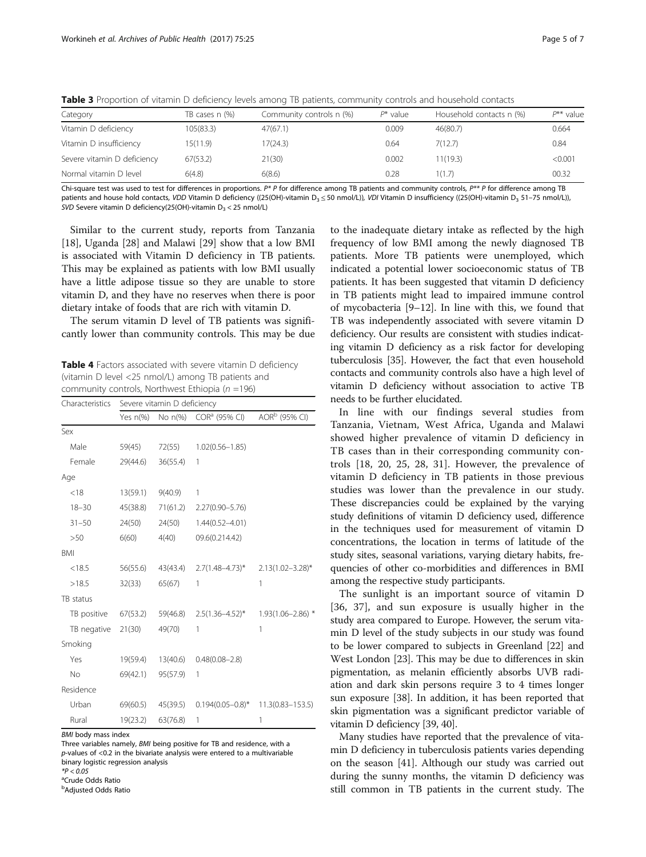| Category                    | TB cases n (%) | Community controls n (%) | $P^*$ value | Household contacts n (%) | $P^{**}$ value |
|-----------------------------|----------------|--------------------------|-------------|--------------------------|----------------|
| Vitamin D deficiency        | 105(83.3)      | 47(67.1)                 | 0.009       | 46(80.7)                 | 0.664          |
| Vitamin D insufficiency     | 15(11.9)       | 17(24.3)                 | 0.64        | 7(12.7)                  | 0.84           |
| Severe vitamin D deficiency | 67(53.2)       | 21(30)                   | 0.002       | 11(19.3)                 | < 0.001        |
| Normal vitamin D level      | 6(4.8)         | 6(8.6)                   | 0.28        | 1(1.7)                   | 00.32          |

<span id="page-4-0"></span>Table 3 Proportion of vitamin D deficiency levels among TB patients, community controls and household contacts

Chi-square test was used to test for differences in proportions.  $P^* P$  for difference among TB patients and community controls,  $P^{**} P$  for difference among TB patients and house hold contacts, VDD Vitamin D deficiency ((25(OH)-vitamin D<sub>3</sub> ≤ 50 nmol/L)), VDI Vitamin D insufficiency ((25(OH)-vitamin D<sub>3</sub> 51-75 nmol/L)), SVD Severe vitamin D deficiency(25(OH)-vitamin  $D_3 < 25$  nmol/L)

Similar to the current study, reports from Tanzania [[18\]](#page-6-0), Uganda [[28\]](#page-6-0) and Malawi [[29\]](#page-6-0) show that a low BMI is associated with Vitamin D deficiency in TB patients. This may be explained as patients with low BMI usually have a little adipose tissue so they are unable to store vitamin D, and they have no reserves when there is poor dietary intake of foods that are rich with vitamin D.

The serum vitamin D level of TB patients was significantly lower than community controls. This may be due

Table 4 Factors associated with severe vitamin D deficiency (vitamin D level <25 nmol/L) among TB patients and community controls, Northwest Ethiopia ( $n = 196$ )

| Characteristics | Severe vitamin D deficiency |                   |                           |                           |  |
|-----------------|-----------------------------|-------------------|---------------------------|---------------------------|--|
|                 | Yes n(%)                    | No $n\frac{9}{6}$ | COR <sup>a</sup> (95% CI) | AOR <sup>b</sup> (95% CI) |  |
| Sex             |                             |                   |                           |                           |  |
| Male            | 59(45)                      | 72(55)            | $1.02(0.56 - 1.85)$       |                           |  |
| Female          | 29(44.6)                    | 36(55.4)          | 1                         |                           |  |
| Age             |                             |                   |                           |                           |  |
| < 18            | 13(59.1)                    | 9(40.9)           | 1                         |                           |  |
| $18 - 30$       | 45(38.8)                    | 71(61.2)          | $2.27(0.90 - 5.76)$       |                           |  |
| $31 - 50$       | 24(50)                      | 24(50)            | 1.44(0.52-4.01)           |                           |  |
| >50             | 6(60)                       | 4(40)             | 09.6(0.214.42)            |                           |  |
| <b>BMI</b>      |                             |                   |                           |                           |  |
| < 18.5          | 56(55.6)                    | 43(43.4)          | $2.7(1.48 - 4.73)^*$      | $2.13(1.02 - 3.28)^*$     |  |
| >18.5           | 32(33)                      | 65(67)            | 1                         | 1                         |  |
| TB status       |                             |                   |                           |                           |  |
| TB positive     | 67(53.2)                    | 59(46.8)          | $2.5(1.36 - 4.52)^{*}$    | $1.93(1.06 - 2.86)$ *     |  |
| TB negative     | 21(30)                      | 49(70)            | 1                         | 1                         |  |
| Smoking         |                             |                   |                           |                           |  |
| Yes             | 19(59.4)                    | 13(40.6)          | $0.48(0.08 - 2.8)$        |                           |  |
| No              | 69(42.1)                    | 95(57.9)          | 1                         |                           |  |
| Residence       |                             |                   |                           |                           |  |
| Urban           | 69(60.5)                    | 45(39.5)          | $0.194(0.05 - 0.8)$ *     | $11.3(0.83 - 153.5)$      |  |
| Rural           | 19(23.2)                    | 63(76.8)          | 1                         | 1                         |  |

BMI body mass index

Three variables namely, BMI being positive for TB and residence, with a p-values of <0.2 in the bivariate analysis were entered to a multivariable binary logistic regression analysis  $*P < 0.05$ 

<sup>a</sup>Crude Odds Ratio

<sup>b</sup>Adjusted Odds Ratio

to the inadequate dietary intake as reflected by the high frequency of low BMI among the newly diagnosed TB patients. More TB patients were unemployed, which indicated a potential lower socioeconomic status of TB patients. It has been suggested that vitamin D deficiency in TB patients might lead to impaired immune control of mycobacteria [[9](#page-5-0)–[12](#page-5-0)]. In line with this, we found that TB was independently associated with severe vitamin D deficiency. Our results are consistent with studies indicating vitamin D deficiency as a risk factor for developing tuberculosis [[35\]](#page-6-0). However, the fact that even household contacts and community controls also have a high level of vitamin D deficiency without association to active TB needs to be further elucidated.

In line with our findings several studies from Tanzania, Vietnam, West Africa, Uganda and Malawi showed higher prevalence of vitamin D deficiency in TB cases than in their corresponding community controls [[18, 20, 25, 28, 31\]](#page-6-0). However, the prevalence of vitamin D deficiency in TB patients in those previous studies was lower than the prevalence in our study. These discrepancies could be explained by the varying study definitions of vitamin D deficiency used, difference in the techniques used for measurement of vitamin D concentrations, the location in terms of latitude of the study sites, seasonal variations, varying dietary habits, frequencies of other co-morbidities and differences in BMI among the respective study participants.

The sunlight is an important source of vitamin D [[36, 37\]](#page-6-0), and sun exposure is usually higher in the study area compared to Europe. However, the serum vitamin D level of the study subjects in our study was found to be lower compared to subjects in Greenland [\[22\]](#page-6-0) and West London [\[23\]](#page-6-0). This may be due to differences in skin pigmentation, as melanin efficiently absorbs UVB radiation and dark skin persons require 3 to 4 times longer sun exposure [[38](#page-6-0)]. In addition, it has been reported that skin pigmentation was a significant predictor variable of vitamin D deficiency [[39](#page-6-0), [40\]](#page-6-0).

Many studies have reported that the prevalence of vitamin D deficiency in tuberculosis patients varies depending on the season [[41](#page-6-0)]. Although our study was carried out during the sunny months, the vitamin D deficiency was still common in TB patients in the current study. The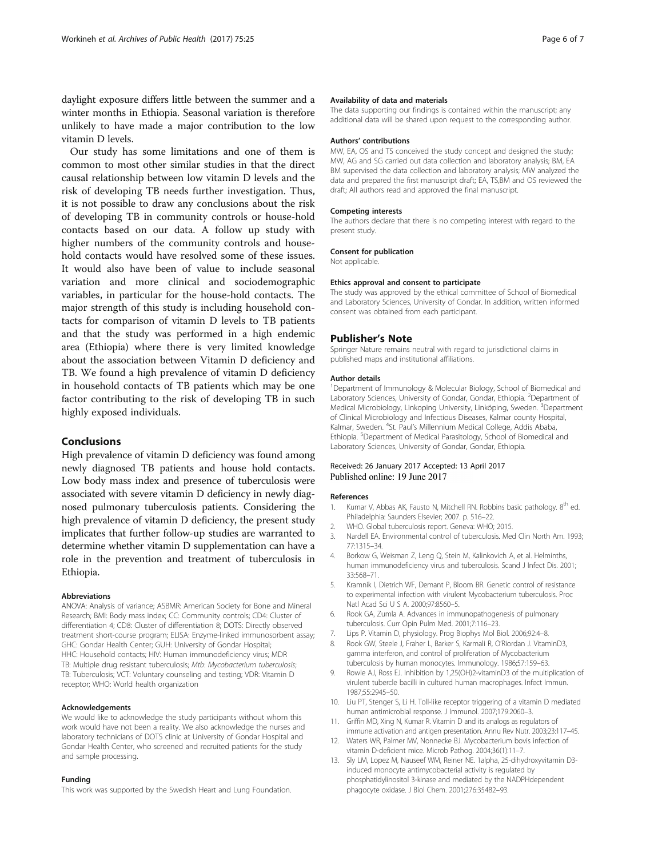<span id="page-5-0"></span>daylight exposure differs little between the summer and a winter months in Ethiopia. Seasonal variation is therefore unlikely to have made a major contribution to the low vitamin D levels.

Our study has some limitations and one of them is common to most other similar studies in that the direct causal relationship between low vitamin D levels and the risk of developing TB needs further investigation. Thus, it is not possible to draw any conclusions about the risk of developing TB in community controls or house-hold contacts based on our data. A follow up study with higher numbers of the community controls and household contacts would have resolved some of these issues. It would also have been of value to include seasonal variation and more clinical and sociodemographic variables, in particular for the house-hold contacts. The major strength of this study is including household contacts for comparison of vitamin D levels to TB patients and that the study was performed in a high endemic area (Ethiopia) where there is very limited knowledge about the association between Vitamin D deficiency and TB. We found a high prevalence of vitamin D deficiency in household contacts of TB patients which may be one factor contributing to the risk of developing TB in such highly exposed individuals.

## Conclusions

High prevalence of vitamin D deficiency was found among newly diagnosed TB patients and house hold contacts. Low body mass index and presence of tuberculosis were associated with severe vitamin D deficiency in newly diagnosed pulmonary tuberculosis patients. Considering the high prevalence of vitamin D deficiency, the present study implicates that further follow-up studies are warranted to determine whether vitamin D supplementation can have a role in the prevention and treatment of tuberculosis in Ethiopia.

#### **Abbreviations**

ANOVA: Analysis of variance; ASBMR: American Society for Bone and Mineral Research; BMI: Body mass index; CC: Community controls; CD4: Cluster of differentiation 4; CD8: Cluster of differentiation 8; DOTS: Directly observed treatment short-course program; ELISA: Enzyme-linked immunosorbent assay; GHC: Gondar Health Center; GUH: University of Gondar Hospital; HHC: Household contacts; HIV: Human immunodeficiency virus; MDR TB: Multiple drug resistant tuberculosis; Mtb: Mycobacterium tuberculosis; TB: Tuberculosis; VCT: Voluntary counseling and testing; VDR: Vitamin D receptor; WHO: World health organization

#### Acknowledgements

We would like to acknowledge the study participants without whom this work would have not been a reality. We also acknowledge the nurses and laboratory technicians of DOTS clinic at University of Gondar Hospital and Gondar Health Center, who screened and recruited patients for the study and sample processing.

## Funding

This work was supported by the Swedish Heart and Lung Foundation.

#### Availability of data and materials

The data supporting our findings is contained within the manuscript; any additional data will be shared upon request to the corresponding author.

#### Authors' contributions

MW, EA, OS and TS conceived the study concept and designed the study; MW, AG and SG carried out data collection and laboratory analysis; BM, EA BM supervised the data collection and laboratory analysis; MW analyzed the data and prepared the first manuscript draft; EA, TS,BM and OS reviewed the draft; All authors read and approved the final manuscript.

#### Competing interests

The authors declare that there is no competing interest with regard to the present study.

#### Consent for publication

Not applicable.

#### Ethics approval and consent to participate

The study was approved by the ethical committee of School of Biomedical and Laboratory Sciences, University of Gondar. In addition, written informed consent was obtained from each participant.

## Publisher's Note

Springer Nature remains neutral with regard to jurisdictional claims in published maps and institutional affiliations.

#### Author details

<sup>1</sup>Department of Immunology & Molecular Biology, School of Biomedical and Laboratory Sciences, University of Gondar, Gondar, Ethiopia. <sup>2</sup>Department of Medical Microbiology, Linkoping University, Linköping, Sweden. <sup>3</sup>Department of Clinical Microbiology and Infectious Diseases, Kalmar county Hospital, Kalmar, Sweden. <sup>4</sup>St. Paul's Millennium Medical College, Addis Ababa Ethiopia. <sup>5</sup>Department of Medical Parasitology, School of Biomedical and Laboratory Sciences, University of Gondar, Gondar, Ethiopia.

## Received: 26 January 2017 Accepted: 13 April 2017 Published online: 19 June 2017

## References

- 1. Kumar V, Abbas AK, Fausto N, Mitchell RN. Robbins basic pathology. 8<sup>th</sup> ed. Philadelphia: Saunders Elsevier; 2007. p. 516–22.
- 2. WHO. Global tuberculosis report. Geneva: WHO; 2015.
- 3. Nardell EA. Environmental control of tuberculosis. Med Clin North Am. 1993; 77:1315–34.
- 4. Borkow G, Weisman Z, Leng Q, Stein M, Kalinkovich A, et al. Helminths, human immunodeficiency virus and tuberculosis. Scand J Infect Dis. 2001; 33:568–71.
- 5. Kramnik I, Dietrich WF, Demant P, Bloom BR. Genetic control of resistance to experimental infection with virulent Mycobacterium tuberculosis. Proc Natl Acad Sci U S A. 2000;97:8560–5.
- 6. Rook GA, Zumla A. Advances in immunopathogenesis of pulmonary tuberculosis. Curr Opin Pulm Med. 2001;7:116–23.
- 7. Lips P. Vitamin D, physiology. Prog Biophys Mol Biol. 2006;92:4–8.
- 8. Rook GW, Steele J, Fraher L, Barker S, Karmali R, O'Riordan J. VitaminD3, gamma interferon, and control of proliferation of Mycobacterium tuberculosis by human monocytes. Immunology. 1986;57:159–63.
- 9. Rowle AJ, Ross EJ. Inhibition by 1,25(OH)2-vitaminD3 of the multiplication of virulent tubercle bacilli in cultured human macrophages. Infect Immun. 1987;55:2945–50.
- 10. Liu PT, Stenger S, Li H. Toll-like receptor triggering of a vitamin D mediated human antimicrobial response. J Immunol. 2007;179:2060–3.
- 11. Griffin MD, Xing N, Kumar R. Vitamin D and its analogs as regulators of immune activation and antigen presentation. Annu Rev Nutr. 2003;23:117–45.
- 12. Waters WR, Palmer MV, Nonnecke BJ. Mycobacterium bovis infection of vitamin D-deficient mice. Microb Pathog. 2004;36(1):11–7.
- 13. Sly LM, Lopez M, Nauseef WM, Reiner NE. 1alpha, 25-dihydroxyvitamin D3 induced monocyte antimycobacterial activity is regulated by phosphatidylinositol 3-kinase and mediated by the NADPHdependent phagocyte oxidase. J Biol Chem. 2001;276:35482–93.